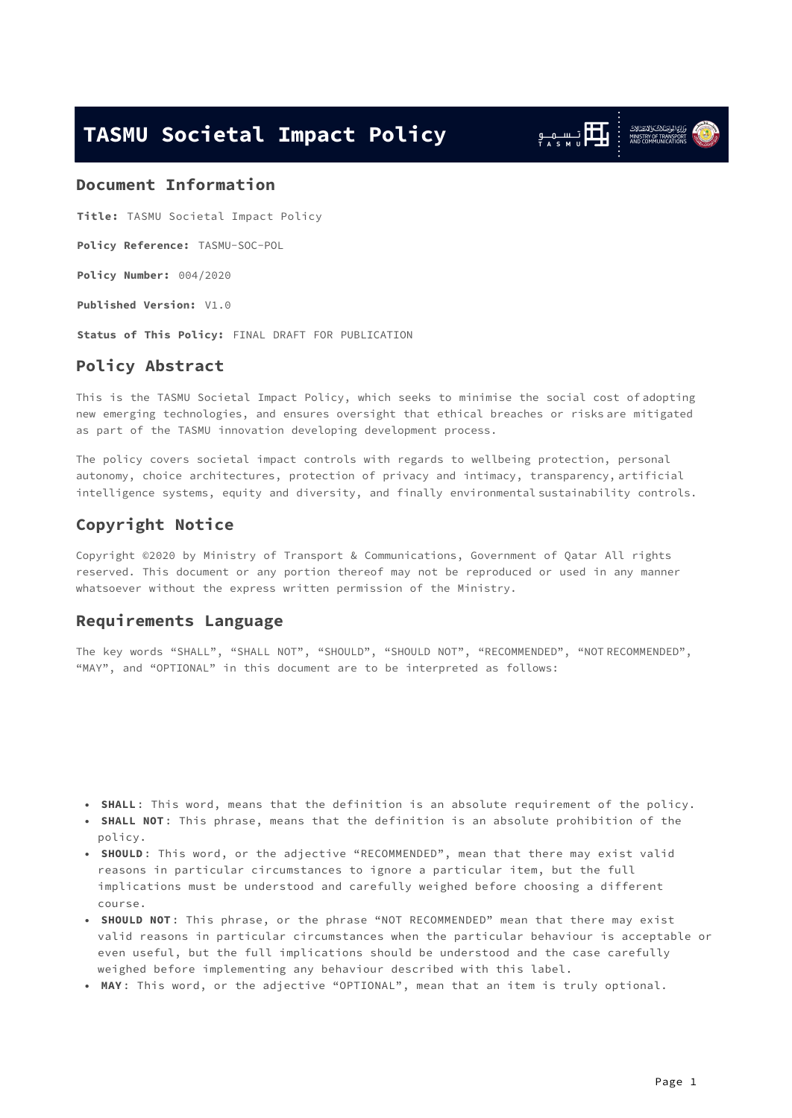## <span id="page-0-0"></span>**TASMU Societal Impact Policy**

<span id="page-0-1"></span>

**Title:** TASMU Societal Impact Policy

**Policy Reference:** TASMU-SOC-POL

**Policy Number:** 004/2020

**Published Version:** V1.0

**Status of This Policy:** FINAL DRAFT FOR PUBLICATION

## **Policy Abstract**

This is the TASMU Societal Impact Policy, which seeks to minimise the social cost of adopting new emerging technologies, and ensures oversight that ethical breaches or risks are mitigated as part of the TASMU innovation developing development process.

<span id="page-0-2"></span>The policy covers societal impact controls with regards to wellbeing protection, personal autonomy, choice architectures, protection of privacy and intimacy, transparency, artificial intelligence systems, equity and diversity, and finally environmental sustainability controls.

## **Copyright Notice**

Copyright ©2020 by Ministry of Transport & Communications, Government of Qatar All rights reserved. This document or any portion thereof may not be reproduced or used in any manner whatsoever without the express written permission of the Ministry.

#### <span id="page-0-3"></span>**Requirements Language**

<span id="page-0-4"></span>The key words "SHALL", "SHALL NOT", "SHOULD", "SHOULD NOT", "RECOMMENDED", "NOT RECOMMENDED", "MAY", and "OPTIONAL" in this document are to be interpreted as follows:

- <span id="page-0-5"></span>**SHALL**: This word, means that the definition is an absolute requirement of the policy. •
- **SHALL NOT**: This phrase, means that the definition is an absolute prohibition of the policy.
- <span id="page-0-6"></span>• **SHOULD**: This word, or the adjective "RECOMMENDED", mean that there may exist valid reasons in particular circumstances to ignore a particular item, but the full implications must be understood and carefully weighed before choosing a different course.
- SHOULD NOT: This phrase, or the phrase "NOT RECOMMENDED" mean that there may exist valid reasons in particular circumstances when the particular behaviour is acceptable or even useful, but the full implications should be understood and the case carefully weighed before implementing any behaviour described with this label.
- <span id="page-0-7"></span>**MAY**: This word, or the adjective "OPTIONAL", mean that an item is truly optional. •

وَزَارَةَ الْجَارَسَنْلاَتْ وَالْاَمْتِعَالَاتْ<br>MINISTRY OF TRANSPORT<br>AND COMMUNICATIONS

الكار سى مى<br>الكار سى مىدات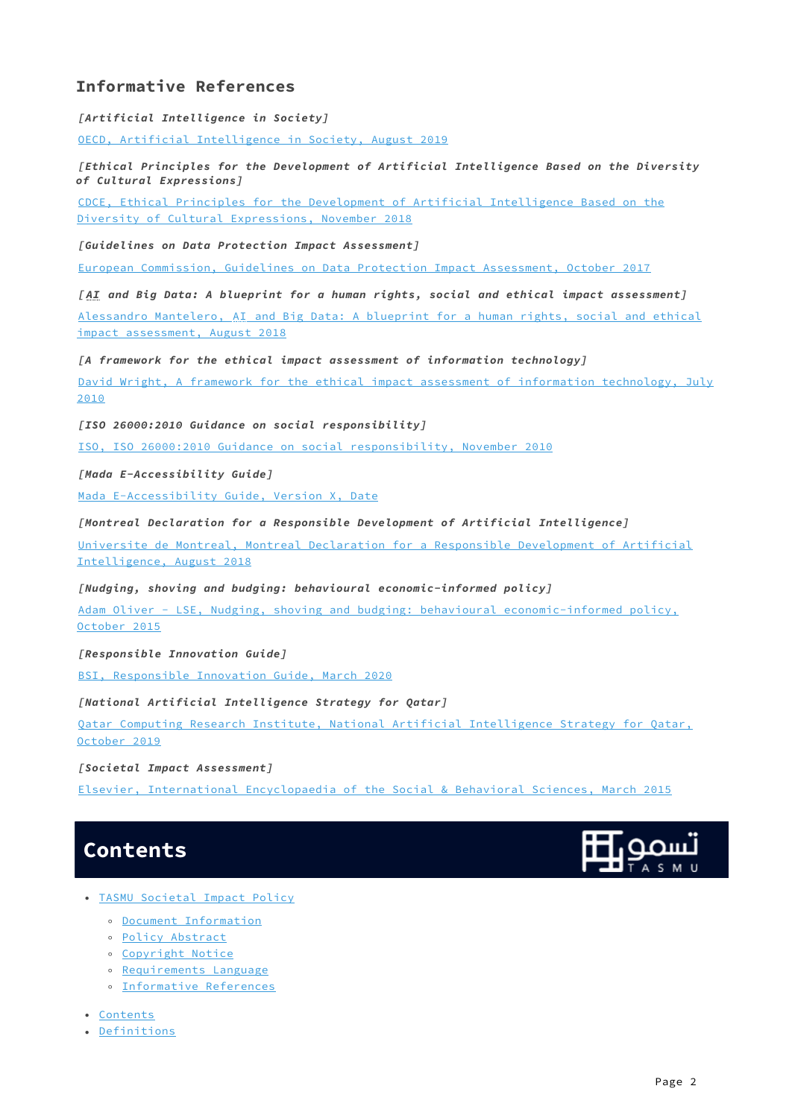## <span id="page-1-0"></span>**Informative References**

**[Artificial Intelligence in Society]**

[OECD, Artificial Intelligence in Society, August 2019](https://doi.org/10.1787/eedfee77-en)

**[Ethical Principles for the Development of Artificial Intelligence Based on the Diversity of Cultural Expressions]**

[CDCE, Ethical Principles for the Development of Artificial Intelligence Based on the](https://cdec-cdce.org/wp-content/uploads/2018/11/EN-CDCE-AI.pdf) [Diversity of Cultural Expressions, November 2018](https://cdec-cdce.org/wp-content/uploads/2018/11/EN-CDCE-AI.pdf)

**[Guidelines on Data Protection Impact Assessment]**

[European Commission, Guidelines on Data Protection Impact Assessment, October 2017](https://ec.europa.eu/newsroom/article29/item-detail.cfm?item_id=611236)

**[ AI and Big Data: A blueprint for a human rights, social and ethical impact assessment]** [Alessandro Mantelero, AI and Big Data: A blueprint for a human rights, social and ethical](https://doi.org/10.1016/j.clsr.2018.05.017) [impact assessment, August 2018](https://doi.org/10.1016/j.clsr.2018.05.017)

**[A framework for the ethical impact assessment of information technology]**

[David Wright, A framework for the ethical impact assessment of information technology, July](https://cdec-cdce.org/wp-content/uploads/2018/11/EN-CDCE-AI.pdf) [2010](https://cdec-cdce.org/wp-content/uploads/2018/11/EN-CDCE-AI.pdf)

**[ISO 26000:2010 Guidance on social responsibility]**

[ISO, ISO 26000:2010 Guidance on social responsibility, November 2010](https://www.iso.org/standard/42546.html)

**[Mada E-Accessibility Guide]**

[Mada E-Accessibility Guide, Version X, Date](https://mada.org.qa/wp-content/uploads/2019/10/mada-e-accessibility-english.pdf)

**[Montreal Declaration for a Responsible Development of Artificial Intelligence]**

[Universite de Montreal, Montreal Declaration for a Responsible Development of Artificial](https://5dcfa4bd-f73a-4de5-94d8-c010ee777609.filesusr.com/ugd/ebc3a3_c5c1c196fc164756afb92466c081d7ae.pdf) [Intelligence, August 2018](https://5dcfa4bd-f73a-4de5-94d8-c010ee777609.filesusr.com/ugd/ebc3a3_c5c1c196fc164756afb92466c081d7ae.pdf)

**[Nudging, shoving and budging: behavioural economic-informed policy]**

[Adam Oliver - LSE, Nudging, shoving and budging: behavioural economic-informed policy,](http://eprints.lse.ac.uk/63904/1/__lse.ac.uk_storage_LIBRARY_Secondary_libfile_shared_repository_Content_Oliver%2C%20A%20articles_Nudging%20shoving%20budging_Oliver_Nudging%20shoving%20budging_2015.pdf) [October 2015](http://eprints.lse.ac.uk/63904/1/__lse.ac.uk_storage_LIBRARY_Secondary_libfile_shared_repository_Content_Oliver%2C%20A%20articles_Nudging%20shoving%20budging_Oliver_Nudging%20shoving%20budging_2015.pdf)

**[Responsible Innovation Guide]**

[BSI, Responsible Innovation Guide, March 2020](https://shop.bsigroup.com/ProductDetail?pid=000000000030394658&utm_source=pardot&utm_medium=email&utm_campaign=SM-STAN-LAU-PAS-PAS440-2003)

**[National Artificial Intelligence Strategy for Qatar]**

[Qatar Computing Research Institute, National Artificial Intelligence Strategy for Qatar,](https://qcai.qcri.org/wp-content/uploads/2020/04/QCRI-Artificial-Intelligence-Strategy-2019-ENG.pdf) [October 2019](https://qcai.qcri.org/wp-content/uploads/2020/04/QCRI-Artificial-Intelligence-Strategy-2019-ENG.pdf)

**[Societal Impact Assessment]**

[Elsevier, International Encyclopaedia of the Social & Behavioral Sciences, March 2015](https://doi.org/10.1016/B978-0-08-097086-8.10561-6)

## <span id="page-1-1"></span>**Contents**



- [TASMU Societal Impact Policy](#page-0-0)
	- [Document Information](#page-0-1)
	- [Policy Abstract](#page-0-2)
	- [Copyright Notice](#page-0-3)
	- [Requirements Language](#page-0-4)
	- [Informative References](#page-1-0)

• [Contents](#page-1-1)

• [Definitions](#page-2-0)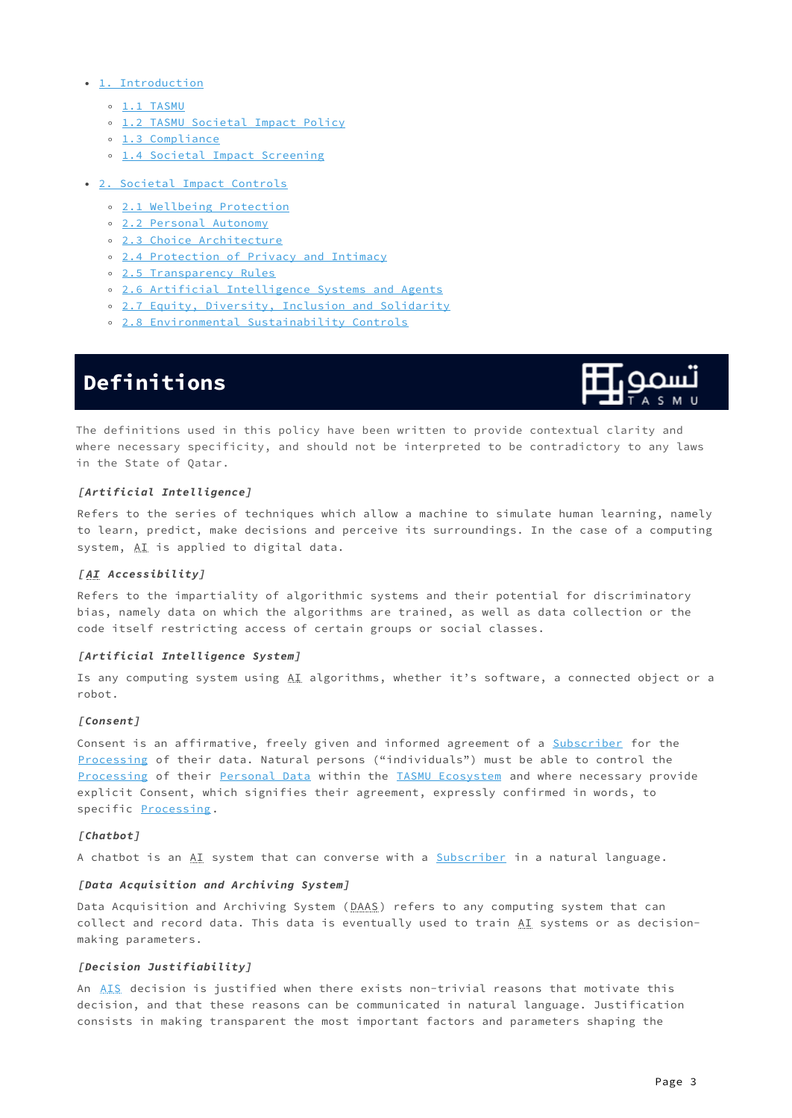- [1. Introduction](#page-4-0)
	- [1.1 TASMU](#page-4-1)
	- [1.2 TASMU Societal Impact Policy](#page-6-0)
	- [1.3 Compliance](#page-6-1)
	- [1.4 Societal Impact Screening](#page-6-2)
- [2. Societal Impact Controls](#page-7-0)
	- [2.1 Wellbeing Protection](#page-7-1)
	- [2.2 Personal Autonomy](#page-7-2)
	- [2.3 Choice Architecture](#page-8-0)
	- [2.4 Protection of Privacy and Intimacy](#page-8-1)
	- [2.5 Transparency Rules](#page-8-2)
	- [2.6 Artificial Intelligence Systems and Agents](#page-9-0)
	- [2.7 Equity, Diversity, Inclusion and Solidarity](#page-9-1) ◦
	- [2.8 Environmental Sustainability Controls](#page-10-0)

# <span id="page-2-0"></span>**Definitions**



The definitions used in this policy have been written to provide contextual clarity and where necessary specificity, and should not be interpreted to be contradictory to any laws in the State of Qatar.

#### **[Artificial Intelligence]**

Refers to the series of techniques which allow a machine to simulate human learning, namely to learn, predict, make decisions and perceive its surroundings. In the case of a computing system, AI is applied to digital data.

#### <span id="page-2-4"></span>**[ AI Accessibility]**

Refers to the impartiality of algorithmic systems and their potential for discriminatory bias, namely data on which the algorithms are trained, as well as data collection or the code itself restricting access of certain groups or social classes.

#### <span id="page-2-1"></span>**[Artificial Intelligence System]**

Is any computing system using AI algorithms, whether it's software, a connected object or a robot.

#### **[Consent]**

Consent is an affirmative, freely given and informed agreement of a [Subscriber](#page-3-0) for the [Processing](#page-3-1) of their data. Natural persons ("individuals") must be able to control the [Processing](#page-3-1) of their [Personal Data](#page-3-2) within the [TASMU Ecosystem](#page-4-2) and where necessary provide explicit Consent, which signifies their agreement, expressly confirmed in words, to specific [Processing](#page-3-1).

#### <span id="page-2-5"></span>**[Chatbot]**

A chatbot is an AI system that can converse with a [Subscriber](#page-3-0) in a natural language.

#### <span id="page-2-2"></span>**[Data Acquisition and Archiving System]**

Data Acquisition and Archiving System (DAAS) refers to any computing system that can collect and record data. This data is eventually used to train  $\underline{A I}$  systems or as decisionmaking parameters.

#### <span id="page-2-3"></span>**[Decision Justifiability]**

An [AIS](#page-2-1) decision is justified when there exists non-trivial reasons that motivate this decision, and that these reasons can be communicated in natural language. Justification consists in making transparent the most important factors and parameters shaping the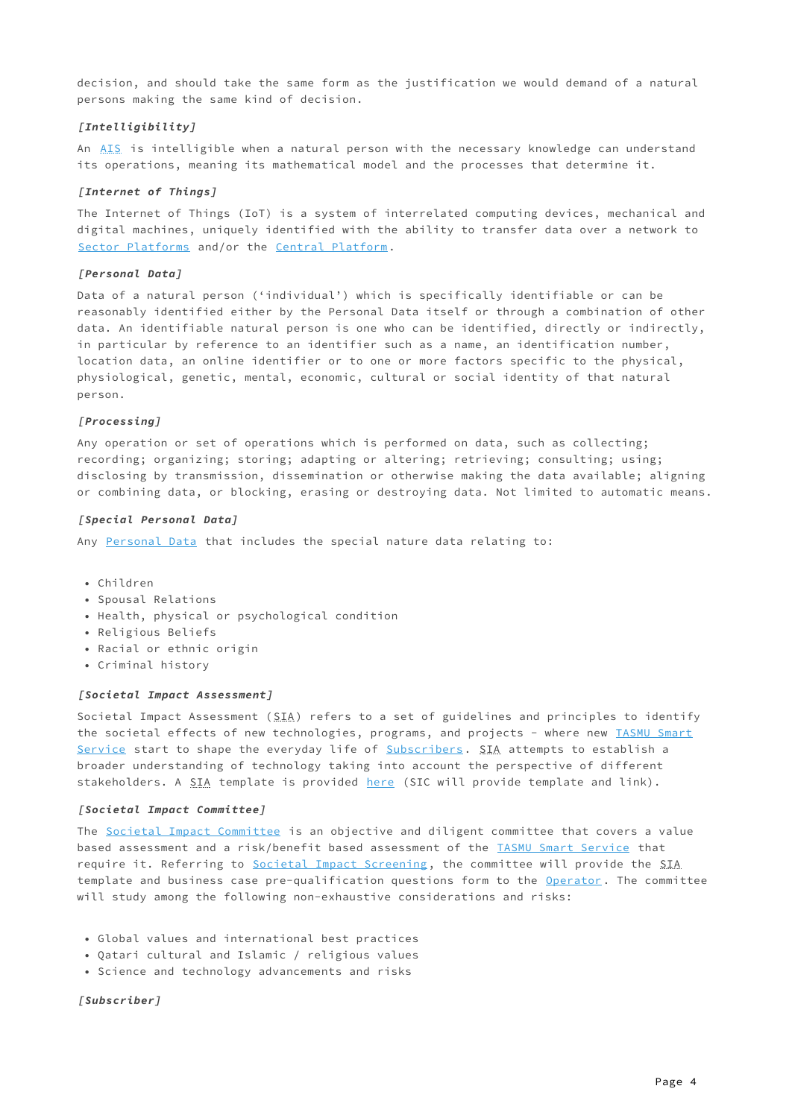decision, and should take the same form as the justification we would demand of a natural persons making the same kind of decision.

#### <span id="page-3-7"></span>**[Intelligibility]**

An [AIS](#page-2-1) is intelligible when a natural person with the necessary knowledge can understand its operations, meaning its mathematical model and the processes that determine it.

#### <span id="page-3-4"></span>**[Internet of Things]**

The Internet of Things (IoT) is a system of interrelated computing devices, mechanical and digital machines, uniquely identified with the ability to transfer data over a network to [Sector Platforms](#page-5-0) and/or the [Central Platform.](#page-5-1)

#### <span id="page-3-2"></span>**[Personal Data]**

Data of a natural person ('individual') which is specifically identifiable or can be reasonably identified either by the Personal Data itself or through a combination of other data. An identifiable natural person is one who can be identified, directly or indirectly, in particular by reference to an identifier such as a name, an identification number, location data, an online identifier or to one or more factors specific to the physical, physiological, genetic, mental, economic, cultural or social identity of that natural person.

#### <span id="page-3-1"></span>**[Processing]**

Any operation or set of operations which is performed on data, such as collecting; recording; organizing; storing; adapting or altering; retrieving; consulting; using; disclosing by transmission, dissemination or otherwise making the data available; aligning or combining data, or blocking, erasing or destroying data. Not limited to automatic means.

#### <span id="page-3-5"></span>**[Special Personal Data]**

Any [Personal Data](#page-3-2) that includes the special nature data relating to:

- Children •
- Spousal Relations
- Health, physical or psychological condition
- Religious Beliefs
- Racial or ethnic origin
- Criminal history

#### <span id="page-3-6"></span>**[Societal Impact Assessment]**

Societal Impact Assessment (SIA) refers to a set of guidelines and principles to identify the societal effects of new technologies, programs, and projects - where new [TASMU Smart](#page-4-3) [Service](#page-4-3) start to shape the everyday life of [Subscribers](#page-3-0). SIA attempts to establish a broader understanding of technology taking into account the perspective of different stakeholders. A SIA template is provided [here](http://SIA_Template) (SIC will provide template and link).

#### <span id="page-3-3"></span>**[Societal Impact Committee]**

The [Societal Impact Committee](#page-3-3) is an objective and diligent committee that covers a value based assessment and a risk/benefit based assessment of the [TASMU Smart Service](#page-4-3) that require it. Referring to [Societal Impact Screening](#page-6-2), the committee will provide the SIA template and business case pre-qualification questions form to the [Operator.](#page-4-4) The committee will study among the following non-exhaustive considerations and risks:

- Global values and international best practices •
- Qatari cultural and Islamic / religious values •
- Science and technology advancements and risks

<span id="page-3-0"></span>**[Subscriber]**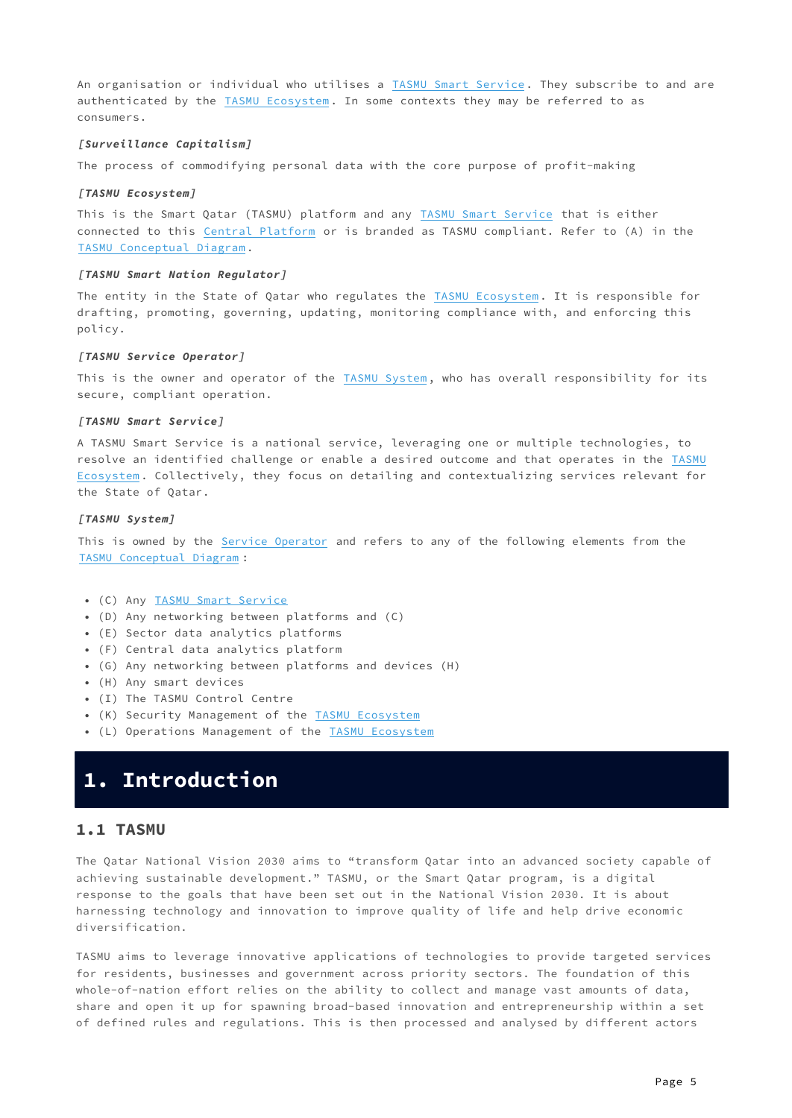An organisation or individual who utilises a [TASMU Smart Service](#page-4-3). They subscribe to and are authenticated by the [TASMU Ecosystem](#page-4-2). In some contexts they may be referred to as consumers.

#### <span id="page-4-7"></span>**[Surveillance Capitalism]**

The process of commodifying personal data with the core purpose of profit-making

#### <span id="page-4-2"></span>**[TASMU Ecosystem]**

This is the Smart Qatar (TASMU) platform and any [TASMU Smart Service](#page-4-3) that is either connected to this [Central Platform](#page-5-1) or is branded as TASMU compliant. Refer to (A) in the [TASMU Conceptual Diagram](#page-5-2).

#### <span id="page-4-6"></span>**[TASMU Smart Nation Regulator]**

The entity in the State of Qatar who regulates the [TASMU Ecosystem](#page-4-2). It is responsible for drafting, promoting, governing, updating, monitoring compliance with, and enforcing this policy.

#### <span id="page-4-4"></span>**[TASMU Service Operator]**

This is the owner and operator of the [TASMU System](#page-4-5), who has overall responsibility for its secure, compliant operation.

#### <span id="page-4-3"></span>**[TASMU Smart Service]**

A TASMU Smart Service is a national service, leveraging one or multiple technologies, to resolve an identified challenge or enable a desired outcome and that operates in the [TASMU](#page-4-2) [Ecosystem](#page-4-2). Collectively, they focus on detailing and contextualizing services relevant for the State of Qatar.

#### <span id="page-4-5"></span>**[TASMU System]**

This is owned by the [Service Operator](#page-4-4) and refers to any of the following elements from the [TASMU Conceptual Diagram](#page-5-2) :

- (C) Any [TASMU Smart Service](#page-4-3)
- (D) Any networking between platforms and (C) •
- (E) Sector data analytics platforms •
- (F) Central data analytics platform •
- (G) Any networking between platforms and devices (H) •
- (H) Any smart devices •
- (I) The TASMU Control Centre •
- (K) Security Management of the **TASMU Ecosystem**
- (L) Operations Management of the **[TASMU Ecosystem](#page-4-2)**

## <span id="page-4-0"></span>**1. Introduction**

### <span id="page-4-1"></span>**1.1 TASMU**

The Qatar National Vision 2030 aims to "transform Qatar into an advanced society capable of achieving sustainable development." TASMU, or the Smart Qatar program, is a digital response to the goals that have been set out in the National Vision 2030. It is about harnessing technology and innovation to improve quality of life and help drive economic diversification.

TASMU aims to leverage innovative applications of technologies to provide targeted services for residents, businesses and government across priority sectors. The foundation of this whole-of-nation effort relies on the ability to collect and manage vast amounts of data, share and open it up for spawning broad-based innovation and entrepreneurship within a set of defined rules and regulations. This is then processed and analysed by different actors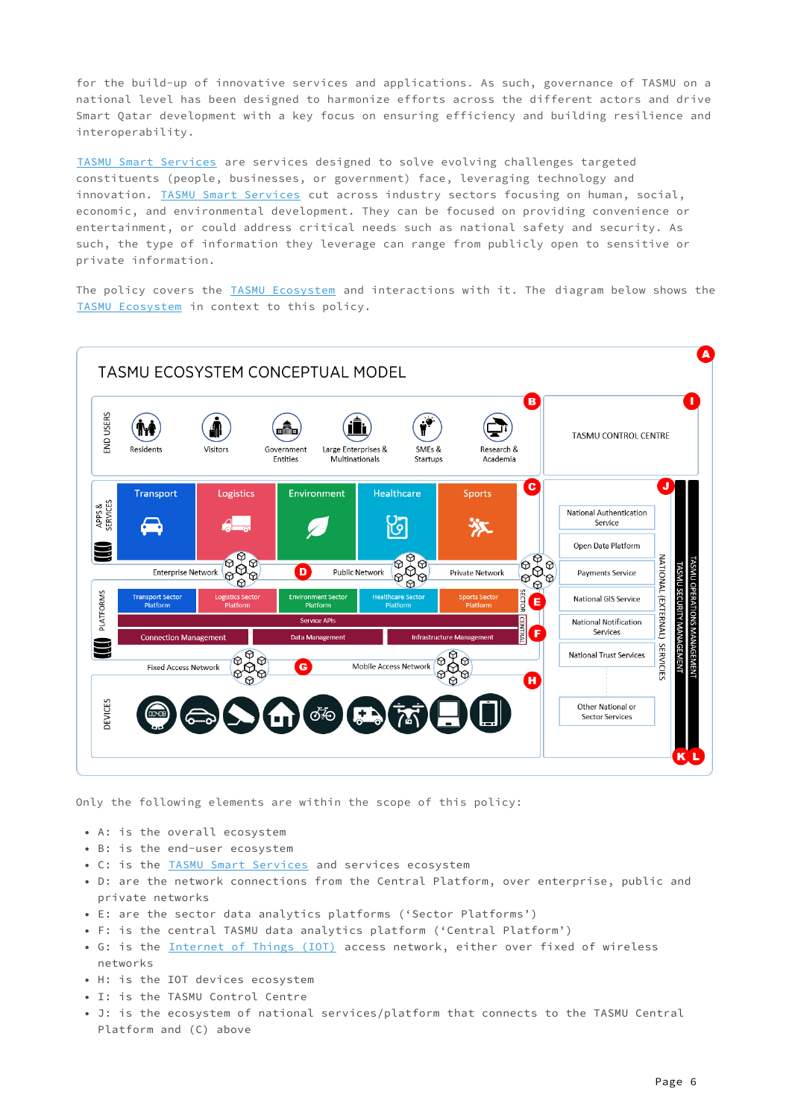for the build-up of innovative services and applications. As such, governance of TASMU on a national level has been designed to harmonize efforts across the different actors and drive Smart Qatar development with a key focus on ensuring efficiency and building resilience and interoperability.

[TASMU Smart Services](#page-4-3) are services designed to solve evolving challenges targeted constituents (people, businesses, or government) face, leveraging technology and innovation. [TASMU Smart Services](#page-4-3) cut across industry sectors focusing on human, social, economic, and environmental development. They can be focused on providing convenience or entertainment, or could address critical needs such as national safety and security. As such, the type of information they leverage can range from publicly open to sensitive or private information.

<span id="page-5-2"></span>The policy covers the [TASMU Ecosystem](#page-4-2) and interactions with it. The diagram below shows the [TASMU Ecosystem](#page-4-2) in context to this policy.

<span id="page-5-1"></span><span id="page-5-0"></span>

Only the following elements are within the scope of this policy:

- A: is the overall ecosystem
- B: is the end-user ecosystem
- C: is the **TASMU Smart Services** and services ecosystem
- D: are the network connections from the Central Platform, over enterprise, public and private networks
- E: are the sector data analytics platforms ('Sector Platforms')
- F: is the central TASMU data analytics platform ('Central Platform')
- G: is the [Internet of Things \(IOT\)](#page-3-4) access network, either over fixed of wireless networks
- H: is the IOT devices ecosystem
- I: is the TASMU Control Centre
- J: is the ecosystem of national services/platform that connects to the TASMU Central Platform and (C) above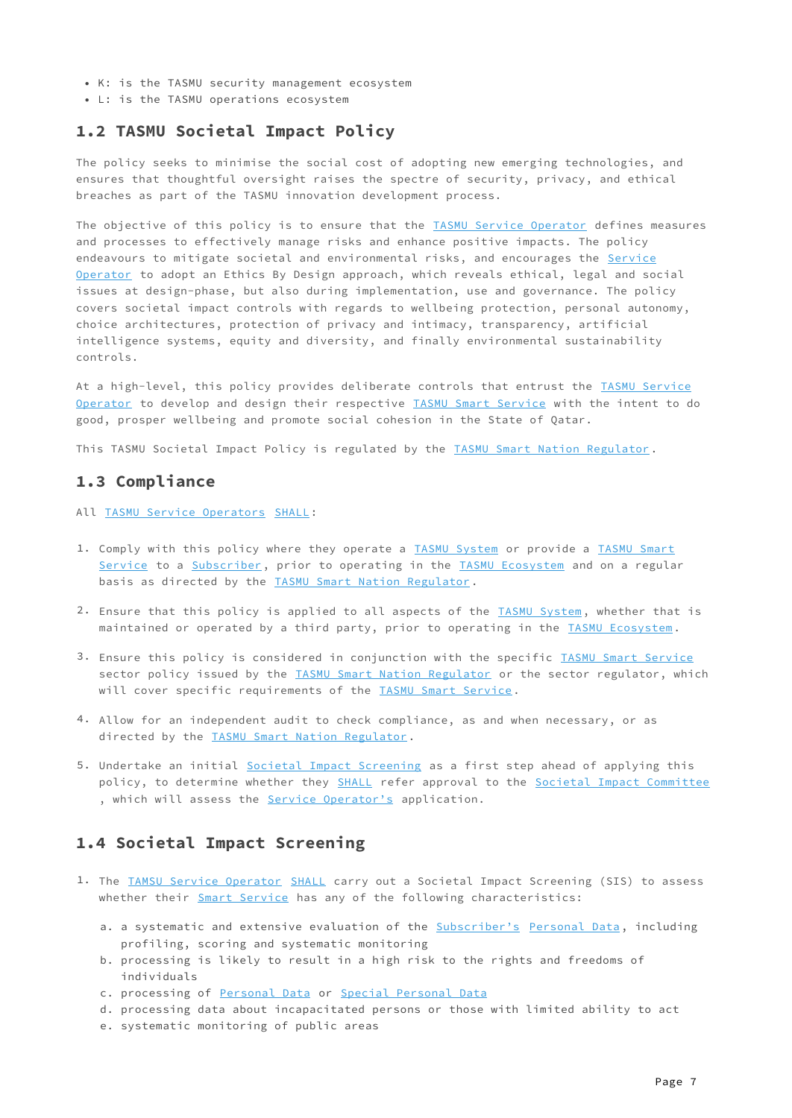- K: is the TASMU security management ecosystem
- L: is the TASMU operations ecosystem

### <span id="page-6-0"></span>**1.2 TASMU Societal Impact Policy**

The policy seeks to minimise the social cost of adopting new emerging technologies, and ensures that thoughtful oversight raises the spectre of security, privacy, and ethical breaches as part of the TASMU innovation development process.

The objective of this policy is to ensure that the [TASMU Service Operator](#page-4-4) defines measures and processes to effectively manage risks and enhance positive impacts. The policy endeavours to mitigate societal and environmental risks, and encourages the [Service](#page-4-4) [Operator](#page-4-4) to adopt an Ethics By Design approach, which reveals ethical, legal and social issues at design-phase, but also during implementation, use and governance. The policy covers societal impact controls with regards to wellbeing protection, personal autonomy, choice architectures, protection of privacy and intimacy, transparency, artificial intelligence systems, equity and diversity, and finally environmental sustainability controls.

At a high-level, this policy provides deliberate controls that entrust the [TASMU Service](#page-4-4) [Operator](#page-4-4) to develop and design their respective [TASMU Smart Service](#page-4-3) with the intent to do good, prosper wellbeing and promote social cohesion in the State of Qatar.

This TASMU Societal Impact Policy is regulated by the [TASMU Smart Nation Regulator.](#page-4-6)

### <span id="page-6-1"></span>**1.3 Compliance**

All [TASMU Service Operators](#page-4-4) [SHALL:](#page-0-5)

- 1. Comply with this policy where they operate a [TASMU System](#page-4-5) or provide a [TASMU Smart](#page-4-3) [Service](#page-4-3) to a [Subscriber](#page-3-0), prior to operating in the [TASMU Ecosystem](#page-4-2) and on a regular basis as directed by the [TASMU Smart Nation Regulator.](#page-4-6)
- 2. Ensure that this policy is applied to all aspects of the **TASMU System**, whether that is maintained or operated by a third party, prior to operating in the [TASMU Ecosystem](#page-4-2).
- 3. Ensure this policy is considered in conjunction with the specific IASMU Smart Service sector policy issued by the [TASMU Smart Nation Regulator](#page-4-6) or the sector regulator, which will cover specific requirements of the [TASMU Smart Service](#page-4-3).
- Allow for an independent audit to check compliance, as and when necessary, or as 4. directed by the [TASMU Smart Nation Regulator](#page-4-6).
- 5. Undertake an initial <u>Societal Impact Screenin</u>g as a first step ahead of applying this policy, to determine whether they [SHALL](#page-0-5) refer approval to the [Societal Impact Committee](#page-3-3) , which will assess the [Service Operator's](#page-4-4) application.

## <span id="page-6-2"></span>**1.4 Societal Impact Screening**

- 1. The <u>TAMSU Service Operator</u> [SHALL](#page-0-5) carry out a Societal Impact Screening (SIS) to assess whether their [Smart Service](#page-4-3) has any of the following characteristics:
	- a. a systematic and extensive evaluation of the <u>[Subscriber's](#page-3-0) Personal Data</u>, including profiling, scoring and systematic monitoring
	- b. processing is likely to result in a high risk to the rights and freedoms of individuals
	- c. processing of [Personal Data](#page-3-2) or [Special Personal Data](#page-3-5)
	- d. processing data about incapacitated persons or those with limited ability to act
	- e. systematic monitoring of public areas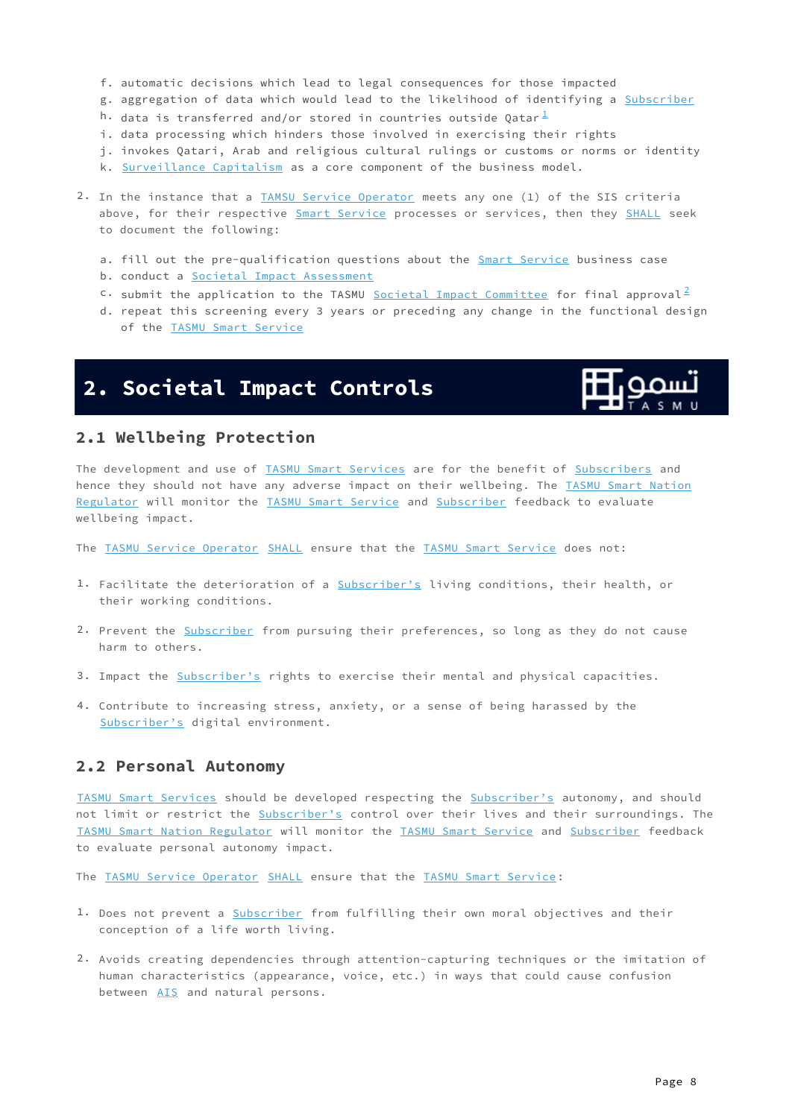- f. automatic decisions which lead to legal consequences for those impacted
- g. aggregation of data which would lead to the likelihood of identifying a <u>[Subscriber](#page-3-0)</u>
- h. data is transferred and/or stored in countries outside Qatar $^{\frac{1}{\Delta}}$  $^{\frac{1}{\Delta}}$  $^{\frac{1}{\Delta}}$
- i. data processing which hinders those involved in exercising their rights
- j. invokes Qatari, Arab and religious cultural rulings or customs or norms or identity
- k. <u>[Surveillance Capitalism](#page-4-7)</u> as a core component of the business model.
- 2. In the instance that a [TAMSU Service Operator](#page-4-4) meets any one (1) of the SIS criteria above, for their respective [Smart Service](#page-4-3) processes or services, then they [SHALL](#page-0-5) seek to document the following:
	- a. fill out the pre-qualification questions about the <u>Smart Service</u> business case
	- b. conduct a <u>Societal Impact Assessment</u>
	- $\cdot$  submit the application to the TASMU <u>Societal Impact Committee</u> for final approval<sup>[2](#page-10-2)</sup>
	- d. repeat this screening every 3 years or preceding any change in the functional design of the [TASMU Smart Service](#page-4-3)

## <span id="page-7-0"></span>**2. Societal Impact Controls**

<span id="page-7-4"></span><span id="page-7-3"></span>

## <span id="page-7-1"></span>**2.1 Wellbeing Protection**

The development and use of [TASMU Smart Services](#page-4-3) are for the benefit of [Subscribers](#page-3-0) and hence they should not have any adverse impact on their wellbeing. The [TASMU Smart Nation](#page-4-6) [Regulator](#page-4-6) will monitor the [TASMU Smart Service](#page-4-3) and [Subscriber](#page-3-0) feedback to evaluate wellbeing impact.

The [TASMU Service Operator](#page-4-4) [SHALL](#page-0-5) ensure that the [TASMU Smart Service](#page-4-3) does not:

- 1. Facilitate the deterioration of a [Subscriber's](#page-3-0) living conditions, their health, or their working conditions.
- 2. Prevent the <u>Subscriber</u> from pursuing their preferences, so long as they do not cause harm to others.
- 3. Impact the [Subscriber's](#page-3-0) rights to exercise their mental and physical capacities.
- 4. Contribute to increasing stress, anxiety, or a sense of being harassed by the [Subscriber's](#page-3-0) digital environment.

## <span id="page-7-2"></span>**2.2 Personal Autonomy**

[TASMU Smart Services](#page-4-3) should be developed respecting the [Subscriber's](#page-3-0) autonomy, and should not limit or restrict the [Subscriber's](#page-3-0) control over their lives and their surroundings. The [TASMU Smart Nation Regulator](#page-4-6) will monitor the [TASMU Smart Service](#page-4-3) and [Subscriber](#page-3-0) feedback to evaluate personal autonomy impact.

The [TASMU Service Operator](#page-4-4) [SHALL](#page-0-5) ensure that the [TASMU Smart Service](#page-4-3):

- 1. Does not prevent a [Subscriber](#page-3-0) from fulfilling their own moral objectives and their conception of a life worth living.
- 2. Avoids creating dependencies through attention-capturing techniques or the imitation of human characteristics (appearance, voice, etc.) in ways that could cause confusion between [AIS](#page-2-1) and natural persons.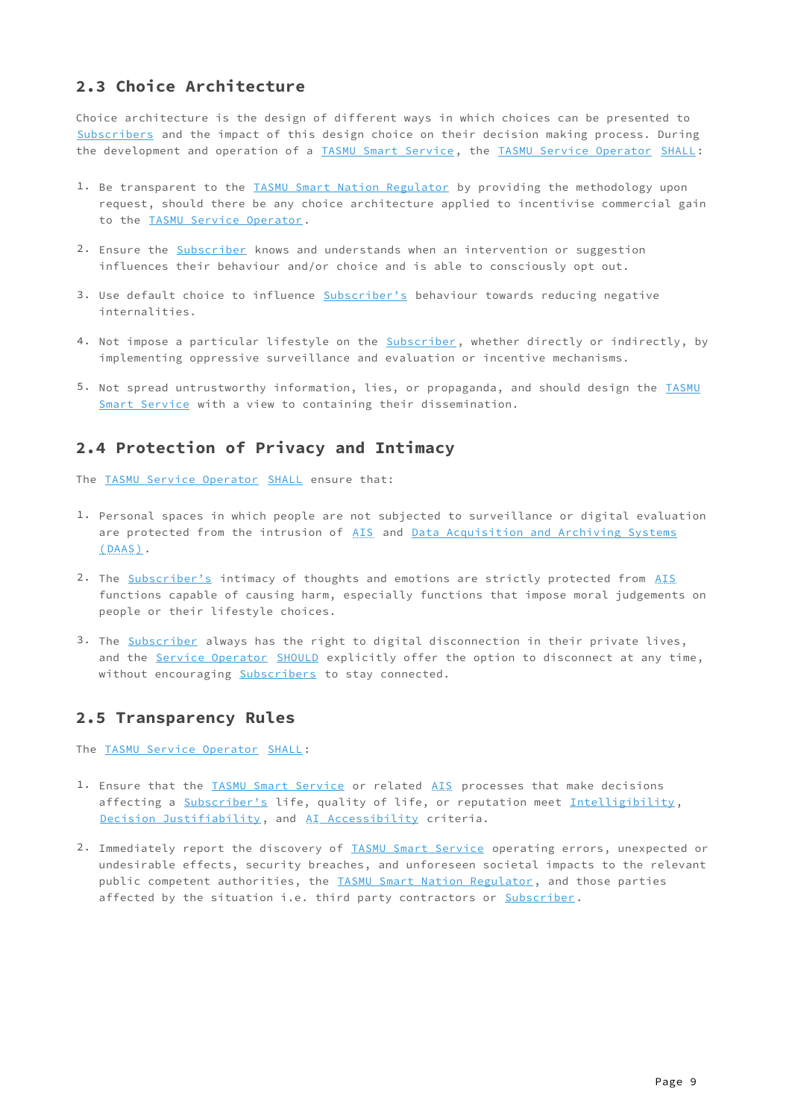## <span id="page-8-0"></span>**2.3 Choice Architecture**

Choice architecture is the design of different ways in which choices can be presented to [Subscribers](#page-3-0) and the impact of this design choice on their decision making process. During the development and operation of a [TASMU Smart Service](#page-4-3), the [TASMU Service Operator](#page-4-4) [SHALL](#page-0-5):

- 1. Be transparent to the [TASMU Smart Nation Regulator](#page-4-6) by providing the methodology upon request, should there be any choice architecture applied to incentivise commercial gain to the [TASMU Service Operator](#page-4-4).
- 2. Ensure the <u>[Subscriber](#page-3-0)</u> knows and understands when an intervention or suggestion influences their behaviour and/or choice and is able to consciously opt out.
- 3. Use default choice to influence [Subscriber's](#page-3-0) behaviour towards reducing negative internalities.
- 4. Not impose a particular lifestyle on the <u>Subscriber</u>, whether directly or indirectly, by implementing oppressive surveillance and evaluation or incentive mechanisms.
- 5. Not spread untrustworthy information, lies, or propaganda, and should design the [TASMU](#page-4-3) [Smart Service](#page-4-3) with a view to containing their dissemination.

## <span id="page-8-1"></span>**2.4 Protection of Privacy and Intimacy**

The [TASMU Service Operator](#page-4-4) [SHALL](#page-0-5) ensure that:

- 1. Personal spaces in which people are not subjected to surveillance or digital evaluation are protected from the intrusion of [AIS](#page-2-1) and [Data Acquisition and Archiving Systems](#page-2-2) [\(DAAS\)](#page-2-2).
- 2. The [Subscriber's](#page-3-0) intimacy of thoughts and emotions are strictly protected from [AIS](#page-2-1) functions capable of causing harm, especially functions that impose moral judgements on people or their lifestyle choices.
- 3. The [Subscriber](#page-3-0) always has the right to digital disconnection in their private lives, and the [Service Operator](#page-4-4) [SHOULD](#page-0-6) explicitly offer the option to disconnect at any time, without encouraging [Subscribers](#page-3-0) to stay connected.

## <span id="page-8-2"></span>**2.5 Transparency Rules**

The [TASMU Service Operator](#page-4-4) [SHALL](#page-0-5):

- 1. Ensure that the [TASMU Smart Service](#page-4-3) or related [AIS](#page-2-1) processes that make decisions affecting a [Subscriber's](#page-3-0) life, quality of life, or reputation meet [Intelligibility](#page-3-7), [Decision Justifiability](#page-2-3), and [AI Accessibility](#page-2-4) criteria.
- 2. Immediately report the discovery of [TASMU Smart Service](#page-4-3) operating errors, unexpected or undesirable effects, security breaches, and unforeseen societal impacts to the relevant public competent authorities, the [TASMU Smart Nation Regulator,](#page-4-6) and those parties affected by the situation i.e. third party contractors or Subscriber.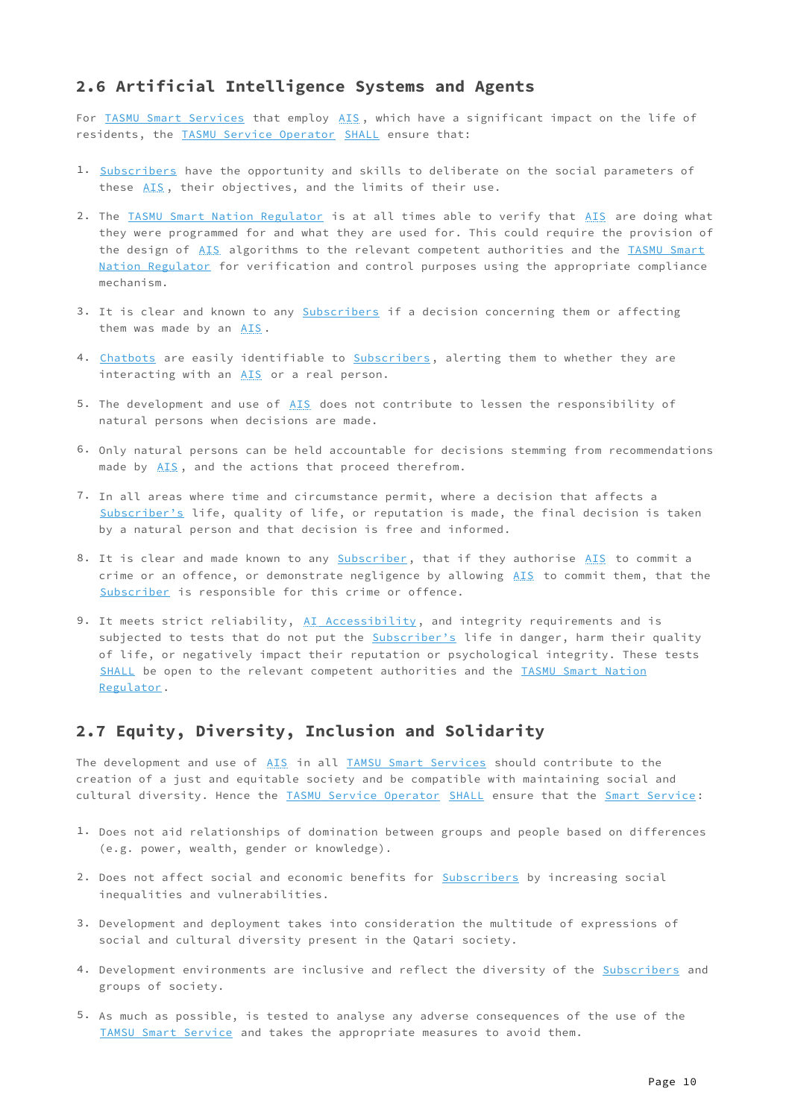## <span id="page-9-0"></span>**2.6 Artificial Intelligence Systems and Agents**

For [TASMU Smart Services](#page-4-3) that employ [AIS](#page-2-1), which have a significant impact on the life of residents, the [TASMU Service Operator](#page-4-4) [SHALL](#page-0-5) ensure that:

- 1. [Subscribers](#page-3-0) have the opportunity and skills to deliberate on the social parameters of these [AIS](#page-2-1), their objectives, and the limits of their use.
- 2. The <u>TASMU Smart Nation Regulator</u> is at all times able to verify that <u>AIS</u> are doing what they were programmed for and what they are used for. This could require the provision of the design of [AIS](#page-2-1) algorithms to the relevant competent authorities and the [TASMU Smart](#page-4-6) [Nation Regulator](#page-4-6) for verification and control purposes using the appropriate compliance mechanism.
- 3. It is clear and known to any [Subscribers](#page-3-0) if a decision concerning them or affecting them was made by an [AIS](#page-2-1).
- 4. <u>[Chatbots](#page-2-5)</u> are easily identifiable to <u>[Subscribers](#page-3-0)</u>, alerting them to whether they are interacting with an [AIS](#page-2-1) or a real person.
- 5. The development and use of [AIS](#page-2-1) does not contribute to lessen the responsibility of natural persons when decisions are made.
- 6. Only natural persons can be held accountable for decisions stemming from recommendations made by [AIS](#page-2-1), and the actions that proceed therefrom.
- 7. In all areas where time and circumstance permit, where a decision that affects a [Subscriber's](#page-3-0) life, quality of life, or reputation is made, the final decision is taken by a natural person and that decision is free and informed.
- 8. It is clear and made known to any [Subscriber](#page-3-0), that if they authorise [AIS](#page-2-1) to commit a crime or an offence, or demonstrate negligence by allowing [AIS](#page-2-1) to commit them, that the [Subscriber](#page-3-0) is responsible for this crime or offence.
- 9. It meets strict reliability, <u>AI Accessibility</u>, and integrity requirements and is subjected to tests that do not put the [Subscriber's](#page-3-0) life in danger, harm their quality of life, or negatively impact their reputation or psychological integrity. These tests [SHALL](#page-0-5) be open to the relevant competent authorities and the [TASMU Smart Nation](#page-4-6) [Regulator](#page-4-6).

## <span id="page-9-1"></span>**2.7 Equity, Diversity, Inclusion and Solidarity**

The development and use of [AIS](#page-2-1) in all [TAMSU Smart Services](#page-4-3) should contribute to the creation of a just and equitable society and be compatible with maintaining social and cultural diversity. Hence the [TASMU Service Operator](#page-4-4) [SHALL](#page-0-5) ensure that the [Smart Service](#page-4-3):

- 1. Does not aid relationships of domination between groups and people based on differences (e.g. power, wealth, gender or knowledge).
- 2. Does not affect social and economic benefits for [Subscribers](#page-3-0) by increasing social inequalities and vulnerabilities.
- 3. Development and deployment takes into consideration the multitude of expressions of social and cultural diversity present in the Qatari society.
- 4. Development environments are inclusive and reflect the diversity of the [Subscribers](#page-3-0) and groups of society.
- 5. As much as possible, is tested to analyse any adverse consequences of the use of the [TAMSU Smart Service](#page-4-3) and takes the appropriate measures to avoid them.